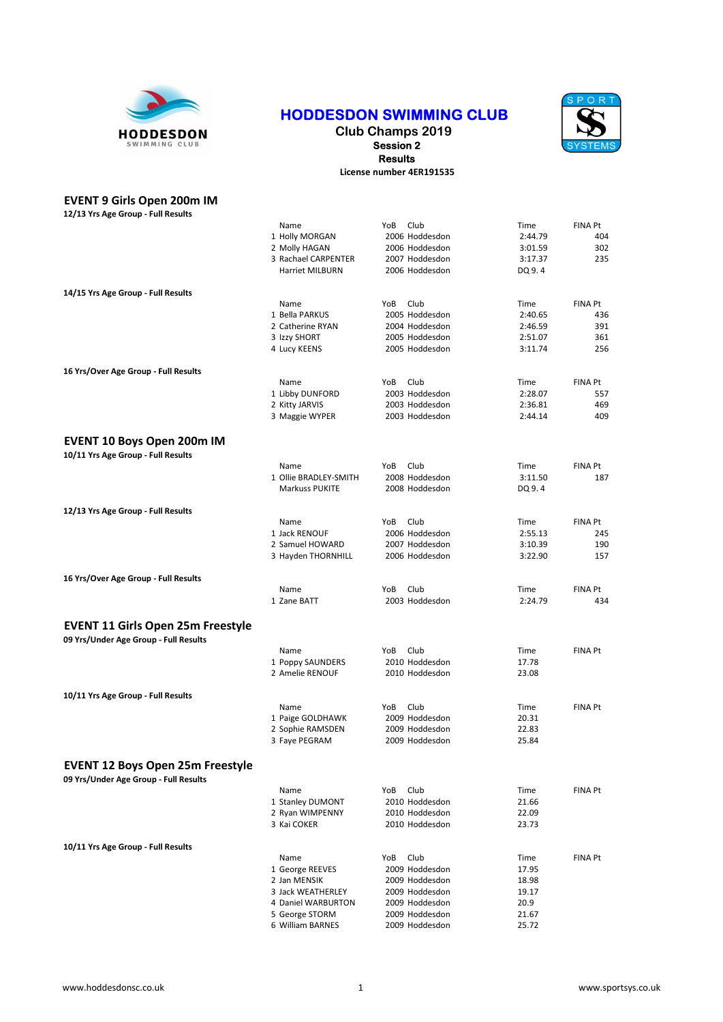

## HODDESDON SWIMMING CLUB

Club Champs 2019 Session 2 Results

License number 4ER191535



## EVENT 9 Girls Open 200m IM 12/13 Yrs Age Group - Full Results Name YoB Club Time FINA Pt 2006 Hoddesdon 2 Molly HAGAN 2006 Hoddesdon 3:01.59 302 3 Rachael CARPENTER 2007 Hoddesdon 3:17.37<br>1.37 Harriet MILBURN 2006 Hoddesdon DO 9.4 2006 Hoddesdon 14/15 Yrs Age Group - Full Results Name Time Time FINA Pt<br>
Rella PARKLIS 2005 Hoddesdon 2.40 65 43 1 Bella PARKUS 2005 Hoddesdon 2:40.65 436 2 Catherine RYAN 2004 Hoddesdon 2:46.59 391<br>3 Izzy SHORT 2005 Hoddesdon 2:51.07 361 3 Izzy SHORT 2005 Hoddesdon 2:51.07 361 4 Lucy KEENS 2005 Hoddesdon 3:11.74 16 Yrs/Over Age Group - Full Results Name **Time YoB** Club **Time** FINA Pt 1 Libby DUNFORD 2003 Hoddesdon 2:28.07 557 2003 Hoddesdon 3 Maggie WYPER 2003 Hoddesdon 2:44.14 409 EVENT 10 Boys Open 200m IM 10/11 Yrs Age Group - Full Results Name YoB Club Time FINA Pt 1 Ollie BRADLEY-SMITH 2008 Hoddesdon 3:11.50 187<br>Markuss PUKITE 2008 Hoddesdon DO 9.4 2008 Hoddesdon 12/13 Yrs Age Group - Full Results Name **The Yout Club Time** FINA Pt 1 Jack RENOUF 2006 Hoddesdon 2:55.13 245 2 Samuel HOWARD 2007 Hoddesdon 3:10.39 190<br>3 Hayden THORNHILL 2006 Hoddesdon 3:22.90 157 3 Hayden THORNHILL 16 Yrs/Over Age Group - Full Results Name Time FINA Pt
YoB Club
Time
Time
The FINA Pt
2003 Hoddesdon
2003 Hoddesdon
The 2:24.79
1
231
231
Name
BATT
THE 2003
Hoddesdon
2003
Hoddesdon
The 2:24.79
1
231
231
231
231
2011
2003
Hoddesdon
The 2:24.79
1
231
2011
2011 2003 Hoddesdon EVENT 11 Girls Open 25m Freestyle 09 Yrs/Under Age Group - Full Results Name YoB Club Time FINA Pt 1 Poppy SAUNDERS 2010 Hoddesdon 17.78<br>2 Amelie RENOUF 2010 Hoddesdon 23.08 2 Amelie RENOUF 2010 Hoddesdon 23.08 10/11 Yrs Age Group - Full Results Name **Time YoB** Club **Time** FINA Pt 1 Paige GOLDHAWK 2009 Hoddesdon 20.31<br>2 Sophie RAMSDEN 2009 Hoddesdon 22.83 2 Sophie RAMSDEN 2009 Hoddesdon 22.83<br>3 Fave PEGRAM 2009 Hoddesdon 25.84 3 Faye PEGRAM EVENT 12 Boys Open 25m Freestyle 09 Yrs/Under Age Group - Full Results Name YoB Club Time FINA Pt 1 Stanley DUMONT 2010 Hoddesdon 21.66 2 Ryan WIMPENNY 2010 Hoddesdon 22.09<br>3 Kai COKER 2010 Hoddesdon 23.73 2010 Hoddesdon 10/11 Yrs Age Group - Full Results Name Time YoB Club Time FINA Pt<br>
George REEVES 2009 Hoddesdon 17.95 1 George REEVES 2 Jan MENSIK 2009 Hoddesdon 18.98 3 Jack WEATHERLEY 2009 Hoddesdon 19.17<br>4 Daniel WARBURTON 2009 Hoddesdon 20.9 4 Daniel WARBURTON<br>5 George STORM 2009 Hoddesdon 21.67

6 William BARNES 2009 Hoddesdon 25.72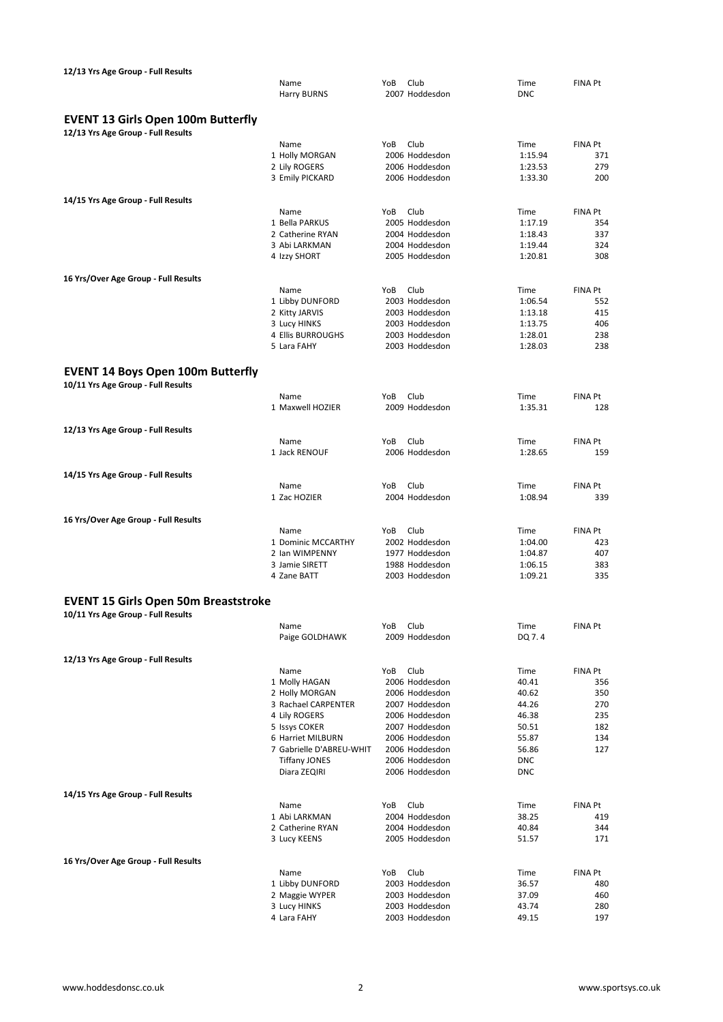| 12/13 Yrs Age Group - Full Results          |                          |     |                        |                |                |
|---------------------------------------------|--------------------------|-----|------------------------|----------------|----------------|
|                                             | Name                     | YoB | Club                   | Time           | <b>FINA Pt</b> |
|                                             | <b>Harry BURNS</b>       |     | 2007 Hoddesdon         | <b>DNC</b>     |                |
| <b>EVENT 13 Girls Open 100m Butterfly</b>   |                          |     |                        |                |                |
| 12/13 Yrs Age Group - Full Results          |                          |     |                        |                |                |
|                                             | Name                     | YoB | Club                   | Time           | <b>FINA Pt</b> |
|                                             | 1 Holly MORGAN           |     | 2006 Hoddesdon         | 1:15.94        | 371            |
|                                             | 2 Lily ROGERS            |     | 2006 Hoddesdon         | 1:23.53        | 279            |
|                                             | 3 Emily PICKARD          |     | 2006 Hoddesdon         | 1:33.30        | 200            |
|                                             |                          |     |                        |                |                |
| 14/15 Yrs Age Group - Full Results          | Name                     | YoB | Club                   | Time           | <b>FINA Pt</b> |
|                                             | 1 Bella PARKUS           |     | 2005 Hoddesdon         | 1:17.19        | 354            |
|                                             | 2 Catherine RYAN         |     | 2004 Hoddesdon         | 1:18.43        | 337            |
|                                             | 3 Abi LARKMAN            |     | 2004 Hoddesdon         | 1:19.44        | 324            |
|                                             | 4 Izzy SHORT             |     | 2005 Hoddesdon         | 1:20.81        | 308            |
| 16 Yrs/Over Age Group - Full Results        |                          |     |                        |                |                |
|                                             | Name                     | YoB | Club                   | Time           | <b>FINA Pt</b> |
|                                             | 1 Libby DUNFORD          |     | 2003 Hoddesdon         | 1:06.54        | 552            |
|                                             | 2 Kitty JARVIS           |     | 2003 Hoddesdon         | 1:13.18        | 415            |
|                                             | 3 Lucy HINKS             |     | 2003 Hoddesdon         | 1:13.75        | 406            |
|                                             | 4 Ellis BURROUGHS        |     | 2003 Hoddesdon         | 1:28.01        | 238            |
|                                             | 5 Lara FAHY              |     | 2003 Hoddesdon         | 1:28.03        | 238            |
| <b>EVENT 14 Boys Open 100m Butterfly</b>    |                          |     |                        |                |                |
| 10/11 Yrs Age Group - Full Results          |                          |     |                        |                |                |
|                                             | Name                     | YoB | Club                   | Time           | <b>FINA Pt</b> |
|                                             | 1 Maxwell HOZIER         |     | 2009 Hoddesdon         | 1:35.31        | 128            |
|                                             |                          |     |                        |                |                |
| 12/13 Yrs Age Group - Full Results          | Name                     | YoB | Club                   | Time           | FINA Pt        |
|                                             | 1 Jack RENOUF            |     | 2006 Hoddesdon         | 1:28.65        | 159            |
|                                             |                          |     |                        |                |                |
| 14/15 Yrs Age Group - Full Results          |                          |     |                        |                |                |
|                                             | Name                     | YoB | Club                   | Time           | <b>FINA Pt</b> |
|                                             | 1 Zac HOZIER             |     | 2004 Hoddesdon         | 1:08.94        | 339            |
| 16 Yrs/Over Age Group - Full Results        |                          |     |                        |                |                |
|                                             | Name                     | YoB | Club                   | Time           | <b>FINA Pt</b> |
|                                             | 1 Dominic MCCARTHY       |     | 2002 Hoddesdon         | 1:04.00        | 423            |
|                                             | 2 Ian WIMPENNY           |     | 1977 Hoddesdon         | 1:04.87        | 407            |
|                                             | 3 Jamie SIRETT           |     | 1988 Hoddesdon         | 1:06.15        | 383            |
|                                             | 4 Zane BATT              |     | 2003 Hoddesdon         | 1:09.21        | 335            |
| <b>EVENT 15 Girls Open 50m Breaststroke</b> |                          |     |                        |                |                |
| 10/11 Yrs Age Group - Full Results          |                          |     |                        |                |                |
|                                             | Name                     | YoB | Club                   | Time           | <b>FINA Pt</b> |
|                                             | Paige GOLDHAWK           |     | 2009 Hoddesdon         | DQ 7.4         |                |
| 12/13 Yrs Age Group - Full Results          |                          |     |                        |                |                |
|                                             | Name                     | YoB | Club                   | Time           | <b>FINA Pt</b> |
|                                             | 1 Molly HAGAN            |     | 2006 Hoddesdon         | 40.41          | 356            |
|                                             | 2 Holly MORGAN           |     | 2006 Hoddesdon         | 40.62          | 350            |
|                                             | 3 Rachael CARPENTER      |     | 2007 Hoddesdon         | 44.26          | 270            |
|                                             | 4 Lily ROGERS            |     | 2006 Hoddesdon         | 46.38          | 235            |
|                                             | 5 Issys COKER            |     | 2007 Hoddesdon         | 50.51          | 182            |
|                                             | 6 Harriet MILBURN        |     | 2006 Hoddesdon         | 55.87          | 134            |
|                                             | 7 Gabrielle D'ABREU-WHIT |     | 2006 Hoddesdon         | 56.86          | 127            |
|                                             | <b>Tiffany JONES</b>     |     | 2006 Hoddesdon         | <b>DNC</b>     |                |
|                                             | Diara ZEQIRI             |     | 2006 Hoddesdon         | <b>DNC</b>     |                |
| 14/15 Yrs Age Group - Full Results          |                          |     |                        |                |                |
|                                             | Name<br>1 Abi LARKMAN    | YoB | Club<br>2004 Hoddesdon | Time           | FINA Pt        |
|                                             | 2 Catherine RYAN         |     | 2004 Hoddesdon         | 38.25<br>40.84 | 419<br>344     |
|                                             | 3 Lucy KEENS             |     | 2005 Hoddesdon         | 51.57          | 171            |
|                                             |                          |     |                        |                |                |
| 16 Yrs/Over Age Group - Full Results        | Name                     | YoB | Club                   | Time           | <b>FINA Pt</b> |
|                                             | 1 Libby DUNFORD          |     | 2003 Hoddesdon         | 36.57          | 480            |
|                                             | 2 Maggie WYPER           |     | 2003 Hoddesdon         | 37.09          | 460            |
|                                             | 3 Lucy HINKS             |     | 2003 Hoddesdon         | 43.74          | 280            |
|                                             | 4 Lara FAHY              |     | 2003 Hoddesdon         | 49.15          | 197            |